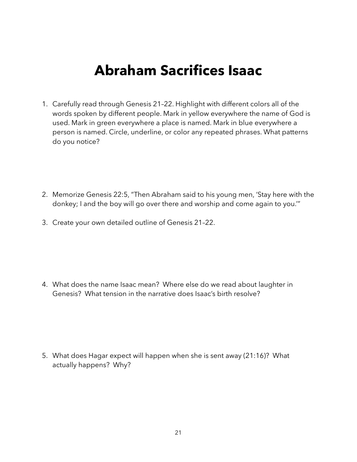## **Abraham Sacrifices Isaac**

- 1. Carefully read through Genesis 21–22. Highlight with different colors all of the words spoken by different people. Mark in yellow everywhere the name of God is used. Mark in green everywhere a place is named. Mark in blue everywhere a person is named. Circle, underline, or color any repeated phrases. What patterns do you notice?
- 2. Memorize Genesis 22:5, "Then Abraham said to his young men, 'Stay here with the donkey; I and the boy will go over there and worship and come again to you.'"
- 3. Create your own detailed outline of Genesis 21–22.

4. What does the name Isaac mean? Where else do we read about laughter in Genesis? What tension in the narrative does Isaac's birth resolve?

5. What does Hagar expect will happen when she is sent away (21:16)? What actually happens? Why?